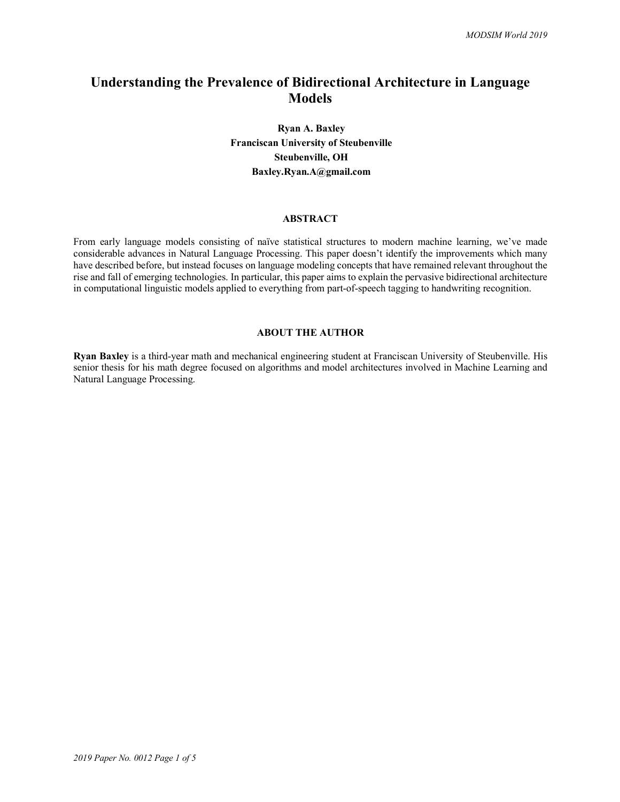# **Understanding the Prevalence of Bidirectional Architecture in Language Models**

# **Ryan A. Baxley Franciscan University of Steubenville Steubenville, OH Baxley.Ryan.A@gmail.com**

# **ABSTRACT**

From early language models consisting of naïve statistical structures to modern machine learning, we've made considerable advances in Natural Language Processing. This paper doesn't identify the improvements which many have described before, but instead focuses on language modeling concepts that have remained relevant throughout the rise and fall of emerging technologies. In particular, this paper aims to explain the pervasive bidirectional architecture in computational linguistic models applied to everything from part-of-speech tagging to handwriting recognition.

## **ABOUT THE AUTHOR**

**Ryan Baxley** is a third-year math and mechanical engineering student at Franciscan University of Steubenville. His senior thesis for his math degree focused on algorithms and model architectures involved in Machine Learning and Natural Language Processing.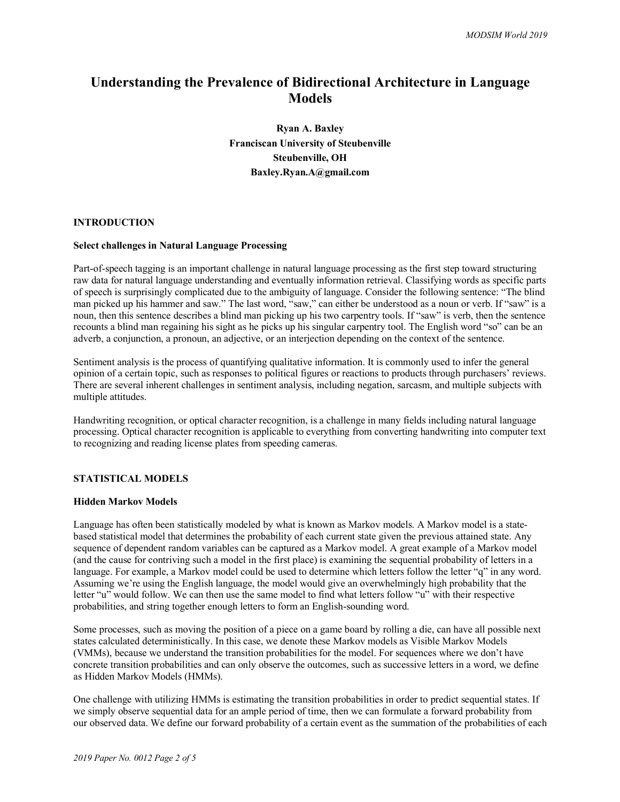# **Understanding the Prevalence of Bidirectional Architecture in Language Models**

**Ryan A. Baxley Franciscan University of Steubenville Steubenville, OH Baxley.Ryan.A@gmail.com**

#### **INTRODUCTION**

## **Select challenges in Natural Language Processing**

Part-of-speech tagging is an important challenge in natural language processing as the first step toward structuring raw data for natural language understanding and eventually information retrieval. Classifying words as specific parts of speech is surprisingly complicated due to the ambiguity of language. Consider the following sentence: "The blind man picked up his hammer and saw." The last word, "saw," can either be understood as a noun or verb. If "saw" is a noun, then this sentence describes a blind man picking up his two carpentry tools. If "saw" is verb, then the sentence recounts a blind man regaining his sight as he picks up his singular carpentry tool. The English word "so" can be an adverb, a conjunction, a pronoun, an adjective, or an interjection depending on the context of the sentence.

Sentiment analysis is the process of quantifying qualitative information. It is commonly used to infer the general opinion of a certain topic, such as responses to political figures or reactions to products through purchasers' reviews. There are several inherent challenges in sentiment analysis, including negation, sarcasm, and multiple subjects with multiple attitudes.

Handwriting recognition, or optical character recognition, is a challenge in many fields including natural language processing. Optical character recognition is applicable to everything from converting handwriting into computer text to recognizing and reading license plates from speeding cameras.

#### **STATISTICAL MODELS**

#### **Hidden Markov Models**

Language has often been statistically modeled by what is known as Markov models. A Markov model is a statebased statistical model that determines the probability of each current state given the previous attained state. Any sequence of dependent random variables can be captured as a Markov model. A great example of a Markov model (and the cause for contriving such a model in the first place) is examining the sequential probability of letters in a language. For example, a Markov model could be used to determine which letters follow the letter "q" in any word. Assuming we're using the English language, the model would give an overwhelmingly high probability that the letter "u" would follow. We can then use the same model to find what letters follow "u" with their respective probabilities, and string together enough letters to form an English-sounding word.

Some processes, such as moving the position of a piece on a game board by rolling a die, can have all possible next states calculated deterministically. In this case, we denote these Markov models as Visible Markov Models (VMMs), because we understand the transition probabilities for the model. For sequences where we don't have concrete transition probabilities and can only observe the outcomes, such as successive letters in a word, we define as Hidden Markov Models (HMMs).

One challenge with utilizing HMMs is estimating the transition probabilities in order to predict sequential states. If we simply observe sequential data for an ample period of time, then we can formulate a forward probability from our observed data. We define our forward probability of a certain event as the summation of the probabilities of each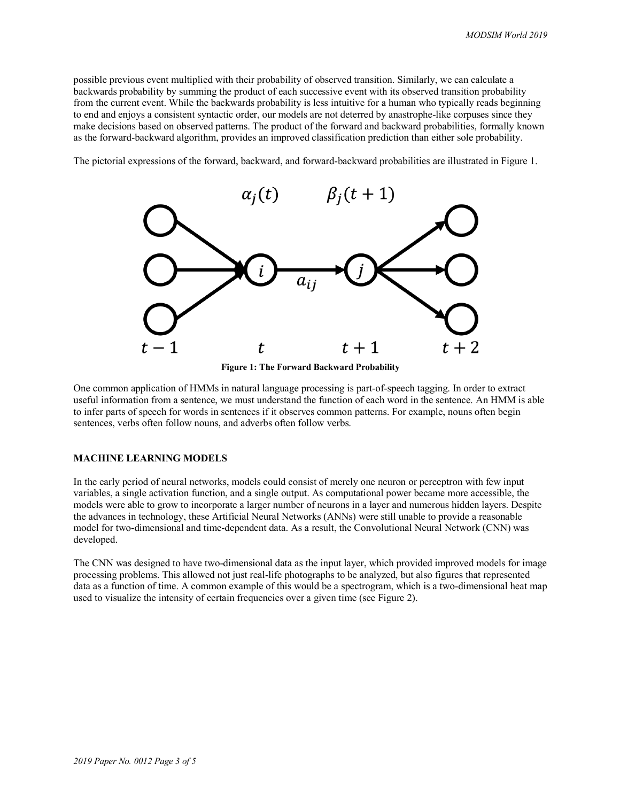possible previous event multiplied with their probability of observed transition. Similarly, we can calculate a backwards probability by summing the product of each successive event with its observed transition probability from the current event. While the backwards probability is less intuitive for a human who typically reads beginning to end and enjoys a consistent syntactic order, our models are not deterred by anastrophe-like corpuses since they make decisions based on observed patterns. The product of the forward and backward probabilities, formally known as the forward-backward algorithm, provides an improved classification prediction than either sole probability.

The pictorial expressions of the forward, backward, and forward-backward probabilities are illustrated in Figure 1.



**Figure 1: The Forward Backward Probability**

One common application of HMMs in natural language processing is part-of-speech tagging. In order to extract useful information from a sentence, we must understand the function of each word in the sentence. An HMM is able to infer parts of speech for words in sentences if it observes common patterns. For example, nouns often begin sentences, verbs often follow nouns, and adverbs often follow verbs.

# **MACHINE LEARNING MODELS**

In the early period of neural networks, models could consist of merely one neuron or perceptron with few input variables, a single activation function, and a single output. As computational power became more accessible, the models were able to grow to incorporate a larger number of neurons in a layer and numerous hidden layers. Despite the advances in technology, these Artificial Neural Networks (ANNs) were still unable to provide a reasonable model for two-dimensional and time-dependent data. As a result, the Convolutional Neural Network (CNN) was developed.

The CNN was designed to have two-dimensional data as the input layer, which provided improved models for image processing problems. This allowed not just real-life photographs to be analyzed, but also figures that represented data as a function of time. A common example of this would be a spectrogram, which is a two-dimensional heat map used to visualize the intensity of certain frequencies over a given time (see Figure 2).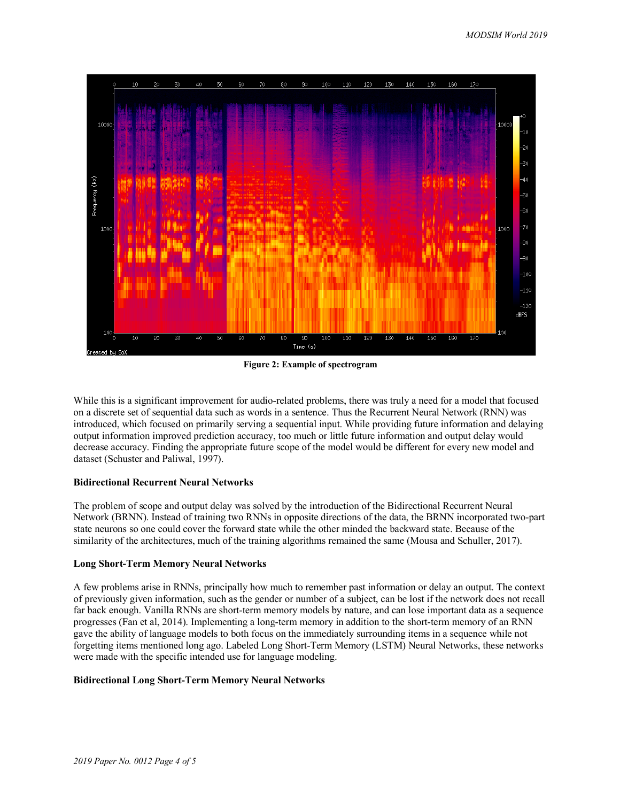

**Figure 2: Example of spectrogram**

While this is a significant improvement for audio-related problems, there was truly a need for a model that focused on a discrete set of sequential data such as words in a sentence. Thus the Recurrent Neural Network (RNN) was introduced, which focused on primarily serving a sequential input. While providing future information and delaying output information improved prediction accuracy, too much or little future information and output delay would decrease accuracy. Finding the appropriate future scope of the model would be different for every new model and dataset (Schuster and Paliwal, 1997).

#### **Bidirectional Recurrent Neural Networks**

The problem of scope and output delay was solved by the introduction of the Bidirectional Recurrent Neural Network (BRNN). Instead of training two RNNs in opposite directions of the data, the BRNN incorporated two-part state neurons so one could cover the forward state while the other minded the backward state. Because of the similarity of the architectures, much of the training algorithms remained the same (Mousa and Schuller, 2017).

#### **Long Short-Term Memory Neural Networks**

A few problems arise in RNNs, principally how much to remember past information or delay an output. The context of previously given information, such as the gender or number of a subject, can be lost if the network does not recall far back enough. Vanilla RNNs are short-term memory models by nature, and can lose important data as a sequence progresses (Fan et al, 2014). Implementing a long-term memory in addition to the short-term memory of an RNN gave the ability of language models to both focus on the immediately surrounding items in a sequence while not forgetting items mentioned long ago. Labeled Long Short-Term Memory (LSTM) Neural Networks, these networks were made with the specific intended use for language modeling.

# **Bidirectional Long Short-Term Memory Neural Networks**